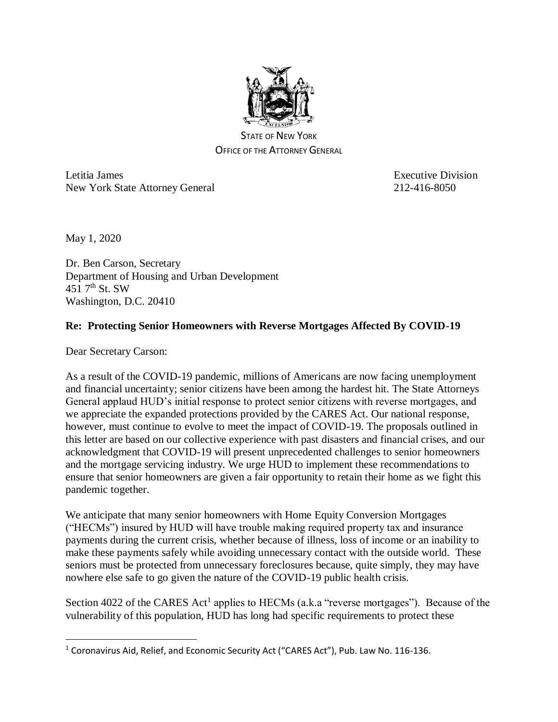

STATE OF NEW YORK OFFICE OF THE ATTORNEY GENERAL

Letitia James **Executive Division** Executive Division New York State Attorney General 212-416-8050

May 1, 2020

 $\overline{a}$ 

Dr. Ben Carson, Secretary Department of Housing and Urban Development  $451$  7<sup>th</sup> St. SW Washington, D.C. 20410

## **Re: Protecting Senior Homeowners with Reverse Mortgages Affected By COVID-19**

Dear Secretary Carson:

As a result of the COVID-19 pandemic, millions of Americans are now facing unemployment and financial uncertainty; senior citizens have been among the hardest hit. The State Attorneys General applaud HUD's initial response to protect senior citizens with reverse mortgages, and we appreciate the expanded protections provided by the CARES Act. Our national response, however, must continue to evolve to meet the impact of COVID-19. The proposals outlined in this letter are based on our collective experience with past disasters and financial crises, and our acknowledgment that COVID-19 will present unprecedented challenges to senior homeowners and the mortgage servicing industry. We urge HUD to implement these recommendations to ensure that senior homeowners are given a fair opportunity to retain their home as we fight this pandemic together.

We anticipate that many senior homeowners with Home Equity Conversion Mortgages ("HECMs") insured by HUD will have trouble making required property tax and insurance payments during the current crisis, whether because of illness, loss of income or an inability to make these payments safely while avoiding unnecessary contact with the outside world. These seniors must be protected from unnecessary foreclosures because, quite simply, they may have nowhere else safe to go given the nature of the COVID-19 public health crisis.

Section 4022 of the CARES Act<sup>1</sup> applies to HECMs (a.k.a "reverse mortgages"). Because of the vulnerability of this population, HUD has long had specific requirements to protect these

<sup>&</sup>lt;sup>1</sup> Coronavirus Aid, Relief, and Economic Security Act ("CARES Act"), Pub. Law No. 116-136.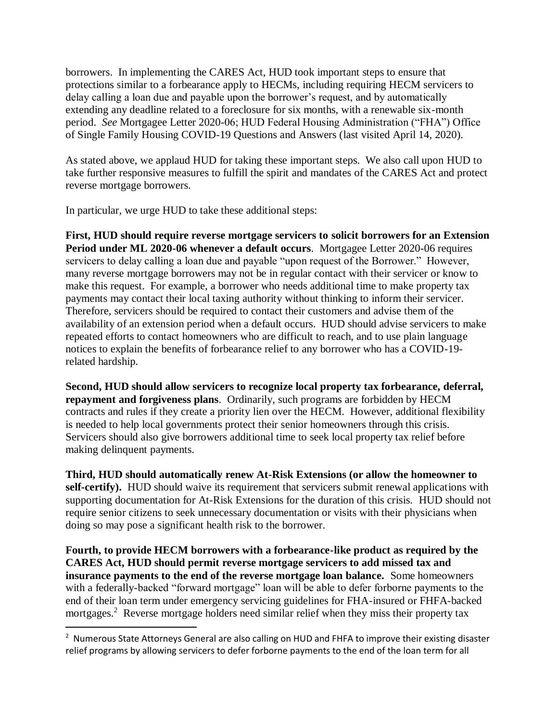borrowers. In implementing the CARES Act, HUD took important steps to ensure that protections similar to a forbearance apply to HECMs, including requiring HECM servicers to delay calling a loan due and payable upon the borrower's request, and by automatically extending any deadline related to a foreclosure for six months, with a renewable six-month period. *See* Mortgagee Letter 2020-06; HUD Federal Housing Administration ("FHA") Office of Single Family Housing COVID-19 Questions and Answers (last visited April 14, 2020).

As stated above, we applaud HUD for taking these important steps. We also call upon HUD to take further responsive measures to fulfill the spirit and mandates of the CARES Act and protect reverse mortgage borrowers.

In particular, we urge HUD to take these additional steps:

 $\overline{a}$ 

**First, HUD should require reverse mortgage servicers to solicit borrowers for an Extension Period under ML 2020-06 whenever a default occurs**. Mortgagee Letter 2020-06 requires servicers to delay calling a loan due and payable "upon request of the Borrower." However, many reverse mortgage borrowers may not be in regular contact with their servicer or know to make this request. For example, a borrower who needs additional time to make property tax payments may contact their local taxing authority without thinking to inform their servicer. Therefore, servicers should be required to contact their customers and advise them of the availability of an extension period when a default occurs. HUD should advise servicers to make repeated efforts to contact homeowners who are difficult to reach, and to use plain language notices to explain the benefits of forbearance relief to any borrower who has a COVID-19 related hardship.

**Second, HUD should allow servicers to recognize local property tax forbearance, deferral, repayment and forgiveness plans**. Ordinarily, such programs are forbidden by HECM contracts and rules if they create a priority lien over the HECM. However, additional flexibility is needed to help local governments protect their senior homeowners through this crisis. Servicers should also give borrowers additional time to seek local property tax relief before making delinquent payments.

**Third, HUD should automatically renew At-Risk Extensions (or allow the homeowner to self-certify).** HUD should waive its requirement that servicers submit renewal applications with supporting documentation for At-Risk Extensions for the duration of this crisis.HUD should not require senior citizens to seek unnecessary documentation or visits with their physicians when doing so may pose a significant health risk to the borrower.

**Fourth, to provide HECM borrowers with a forbearance-like product as required by the CARES Act, HUD should permit reverse mortgage servicers to add missed tax and insurance payments to the end of the reverse mortgage loan balance.** Some homeowners with a federally-backed "forward mortgage" loan will be able to defer forborne payments to the end of their loan term under emergency servicing guidelines for FHA-insured or FHFA-backed mortgages.<sup>2</sup> Reverse mortgage holders need similar relief when they miss their property tax

<sup>&</sup>lt;sup>2</sup> Numerous State Attorneys General are also calling on HUD and FHFA to improve their existing disaster relief programs by allowing servicers to defer forborne payments to the end of the loan term for all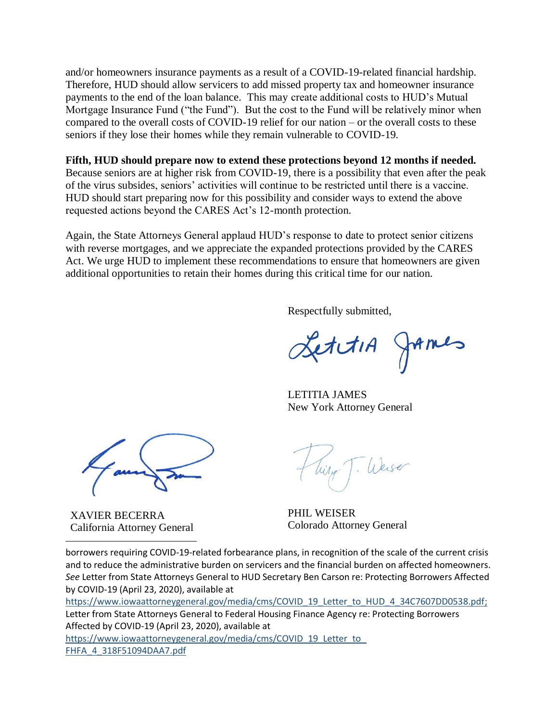and/or homeowners insurance payments as a result of a COVID-19-related financial hardship. Therefore, HUD should allow servicers to add missed property tax and homeowner insurance payments to the end of the loan balance. This may create additional costs to HUD's Mutual Mortgage Insurance Fund ("the Fund"). But the cost to the Fund will be relatively minor when compared to the overall costs of COVID-19 relief for our nation – or the overall costs to these seniors if they lose their homes while they remain vulnerable to COVID-19.

## **Fifth, HUD should prepare now to extend these protections beyond 12 months if needed.**

Because seniors are at higher risk from COVID-19, there is a possibility that even after the peak of the virus subsides, seniors' activities will continue to be restricted until there is a vaccine. HUD should start preparing now for this possibility and consider ways to extend the above requested actions beyond the CARES Act's 12-month protection.

Again, the State Attorneys General applaud HUD's response to date to protect senior citizens with reverse mortgages, and we appreciate the expanded protections provided by the CARES Act. We urge HUD to implement these recommendations to ensure that homeowners are given additional opportunities to retain their homes during this critical time for our nation.

Respectfully submitted,

LettiA James

LETITIA JAMES New York Attorney General

XAVIER BECERRA California Attorney General

 $\overline{a}$ 

Weiser

PHIL WEISER Colorado Attorney General

borrowers requiring COVID-19-related forbearance plans, in recognition of the scale of the current crisis and to reduce the administrative burden on servicers and the financial burden on affected homeowners. *See* Letter from State Attorneys General to HUD Secretary Ben Carson re: Protecting Borrowers Affected by COVID-19 (April 23, 2020), available at

[https://www.iowaattorneygeneral.gov/media/cms/COVID\\_19\\_Letter\\_to\\_HUD\\_4\\_34C7607DD0538.pdf;](https://www.iowaattorneygeneral.gov/media/cms/COVID_19_Letter_to_HUD_4_34C7607DD0538.pdf) Letter from State Attorneys General to Federal Housing Finance Agency re: Protecting Borrowers Affected by COVID-19 (April 23, 2020), available at https://www.iowaattorneygeneral.gov/media/cms/COVID\_19\_Letter\_to [FHFA\\_4\\_318F51094DAA7.pdf](https://www.iowaattorneygeneral.gov/media/cms/COVID_19_Letter_to_FHFA_4_318F51094DAA7.pdf)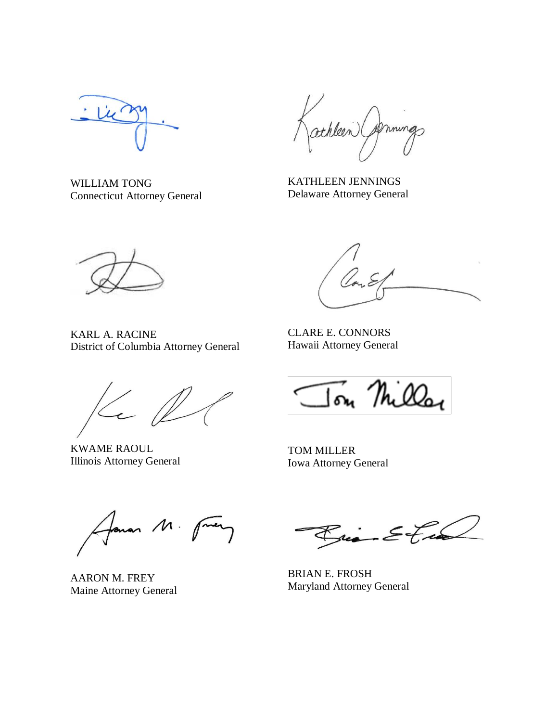WILLIAM TONG Connecticut Attorney General

athleen ( primings

KATHLEEN JENNINGS Delaware Attorney General



KARL A. RACINE

CLARE E. CONNORS Hawaii Attorney General

 $\epsilon$ 

District of Columbia Attorney General

KWAME RAOUL Illinois Attorney General

Ton Milla

TOM MILLER Iowa Attorney General

Lonar M.

AARON M. FREY Maine Attorney General

ria Etia

BRIAN E. FROSH Maryland Attorney General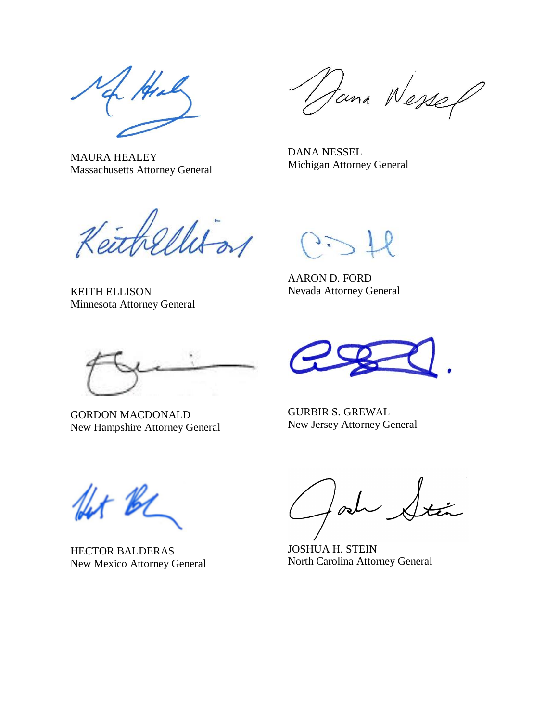Hal

Massachusetts Attorney General

MAURA HEALEY

Jana Wessep

DANA NESSEL Michigan Attorney General

Keithellison

KEITH ELLISON Minnesota Attorney General

AARON D. FORD Nevada Attorney General

GORDON MACDONALD New Hampshire Attorney General

GURBIR S. GREWAL New Jersey Attorney General

let B

HECTOR BALDERAS New Mexico Attorney General

 $\int_{\mathscr{O}}$ 

JOSHUA H. STEIN North Carolina Attorney General